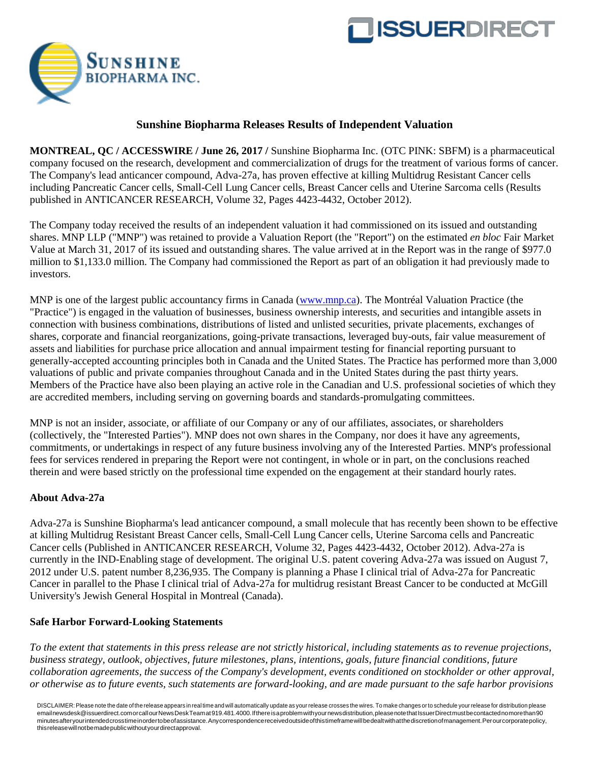



## **Sunshine Biopharma Releases Results of Independent Valuation**

**MONTREAL, QC / ACCESSWIRE / June 26, 2017 /** Sunshine Biopharma Inc. (OTC PINK: SBFM) is a pharmaceutical company focused on the research, development and commercialization of drugs for the treatment of various forms of cancer. The Company's lead anticancer compound, Adva-27a, has proven effective at killing Multidrug Resistant Cancer cells including Pancreatic Cancer cells, Small-Cell Lung Cancer cells, Breast Cancer cells and Uterine Sarcoma cells (Results published in ANTICANCER RESEARCH, Volume 32, Pages 4423-4432, October 2012).

The Company today received the results of an independent valuation it had commissioned on its issued and outstanding shares. MNP LLP ("MNP") was retained to provide a Valuation Report (the "Report") on the estimated *en bloc* Fair Market Value at March 31, 2017 of its issued and outstanding shares. The value arrived at in the Report was in the range of \$977.0 million to \$1,133.0 million. The Company had commissioned the Report as part of an obligation it had previously made to investors.

MNP is one of the largest public accountancy firms in Canada [\(www.mnp.ca\)](http://pr.report/jEmuHCsb). The Montréal Valuation Practice (the "Practice") is engaged in the valuation of businesses, business ownership interests, and securities and intangible assets in connection with business combinations, distributions of listed and unlisted securities, private placements, exchanges of shares, corporate and financial reorganizations, going-private transactions, leveraged buy-outs, fair value measurement of assets and liabilities for purchase price allocation and annual impairment testing for financial reporting pursuant to generally-accepted accounting principles both in Canada and the United States. The Practice has performed more than 3,000 valuations of public and private companies throughout Canada and in the United States during the past thirty years. Members of the Practice have also been playing an active role in the Canadian and U.S. professional societies of which they are accredited members, including serving on governing boards and standards-promulgating committees.

MNP is not an insider, associate, or affiliate of our Company or any of our affiliates, associates, or shareholders (collectively, the "Interested Parties"). MNP does not own shares in the Company, nor does it have any agreements, commitments, or undertakings in respect of any future business involving any of the Interested Parties. MNP's professional fees for services rendered in preparing the Report were not contingent, in whole or in part, on the conclusions reached therein and were based strictly on the professional time expended on the engagement at their standard hourly rates.

## **About Adva-27a**

Adva-27a is Sunshine Biopharma's lead anticancer compound, a small molecule that has recently been shown to be effective at killing Multidrug Resistant Breast Cancer cells, Small-Cell Lung Cancer cells, Uterine Sarcoma cells and Pancreatic Cancer cells (Published in ANTICANCER RESEARCH, Volume 32, Pages 4423-4432, October 2012). Adva-27a is currently in the IND-Enabling stage of development. The original U.S. patent covering Adva-27a was issued on August 7, 2012 under U.S. patent number 8,236,935. The Company is planning a Phase I clinical trial of Adva-27a for Pancreatic Cancer in parallel to the Phase I clinical trial of Adva-27a for multidrug resistant Breast Cancer to be conducted at McGill University's Jewish General Hospital in Montreal (Canada).

## **Safe Harbor Forward-Looking Statements**

*To the extent that statements in this press release are not strictly historical, including statements as to revenue projections, business strategy, outlook, objectives, future milestones, plans, intentions, goals, future financial conditions, future collaboration agreements, the success of the Company's development, events conditioned on stockholder or other approval, or otherwise as to future events, such statements are forward-looking, and are made pursuant to the safe harbor provisions* 

DISCLAIMER:Please note the date of the release appears in real time and will automatically update as your release crosses the wires. To make changes or to schedule your release for distribution please ema[ilnewsdesk@issuerdirect.como](mailto:newsdesk@issuerdirect.com)rcallourNewsDeskTeamat919.481.4000.Ifthereisaproblemwithyournewsdistribution,pleasenotethatIssuerDirectmustbecontactednomorethan90 minutesafteryourintendedcrosstimeinordertobeofassistance.Anycorrespondencereceivedoutsideofthistimeframewillbedealtwithatthediscretionofmanagement.Perourcorporatepolicy, thisreleasewillnotbemadepublicwithoutyourdirectapproval.